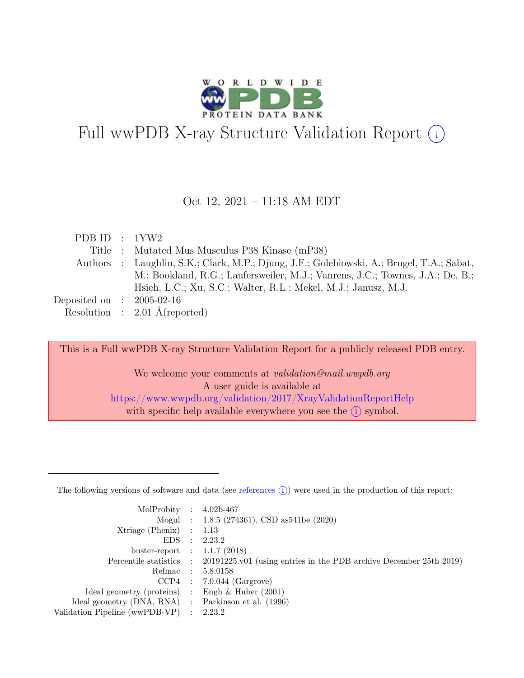

# Full wwPDB X-ray Structure Validation Report  $(i)$

#### Oct 12, 2021 – 11:18 AM EDT

| PDB ID : $1YW2$             |                                                                                           |
|-----------------------------|-------------------------------------------------------------------------------------------|
|                             | Title : Mutated Mus Musculus P38 Kinase (mP38)                                            |
|                             | Authors : Laughlin, S.K.; Clark, M.P.; Djung, J.F.; Golebiowski, A.; Brugel, T.A.; Sabat, |
|                             | M.; Bookland, R.G.; Laufersweiler, M.J.; Vanrens, J.C.; Townes, J.A.; De, B.;             |
|                             | Hsieh, L.C.; Xu, S.C.; Walter, R.L.; Mekel, M.J.; Janusz, M.J.                            |
| Deposited on : $2005-02-16$ |                                                                                           |
|                             | Resolution : $2.01 \text{ Å}$ (reported)                                                  |

This is a Full wwPDB X-ray Structure Validation Report for a publicly released PDB entry.

We welcome your comments at *validation@mail.wwpdb.org* A user guide is available at <https://www.wwpdb.org/validation/2017/XrayValidationReportHelp> with specific help available everywhere you see the  $(i)$  symbol.

The following versions of software and data (see [references](https://www.wwpdb.org/validation/2017/XrayValidationReportHelp#references)  $(i)$ ) were used in the production of this report:

| MolProbity : $4.02b-467$                            |                                                                                            |
|-----------------------------------------------------|--------------------------------------------------------------------------------------------|
|                                                     | Mogul : $1.8.5$ (274361), CSD as 541be (2020)                                              |
| $Xtriangle (Phenix)$ : 1.13                         |                                                                                            |
|                                                     | EDS : 2.23.2                                                                               |
| buster-report : $1.1.7$ (2018)                      |                                                                                            |
|                                                     | Percentile statistics : 20191225.v01 (using entries in the PDB archive December 25th 2019) |
|                                                     | Refmac : 5.8.0158                                                                          |
|                                                     | $CCP4$ : 7.0.044 (Gargrove)                                                                |
| Ideal geometry (proteins) : Engh $\&$ Huber (2001)  |                                                                                            |
| Ideal geometry (DNA, RNA) : Parkinson et al. (1996) |                                                                                            |
| Validation Pipeline (wwPDB-VP) : $2.23.2$           |                                                                                            |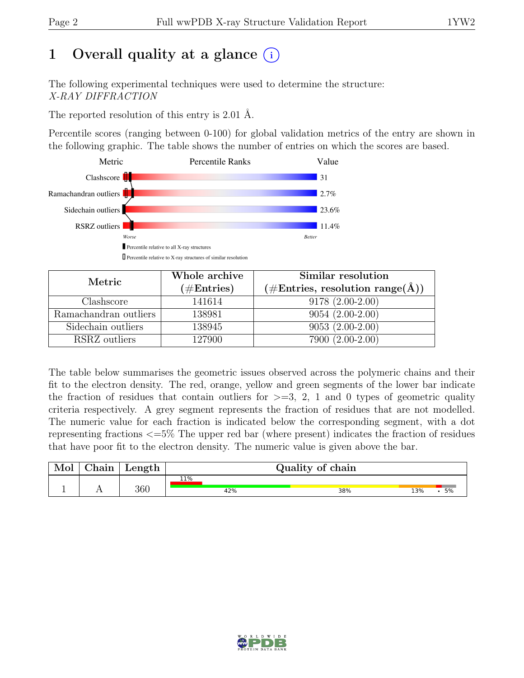# 1 Overall quality at a glance  $(i)$

The following experimental techniques were used to determine the structure: X-RAY DIFFRACTION

The reported resolution of this entry is 2.01 Å.

Percentile scores (ranging between 0-100) for global validation metrics of the entry are shown in the following graphic. The table shows the number of entries on which the scores are based.



| Metric                | Whole archive | Similar resolution                                  |
|-----------------------|---------------|-----------------------------------------------------|
|                       | $(\#Entries)$ | $(\# \text{Entries}, \text{resolution range}(\AA))$ |
| Clashscore            | 141614        | $9178(2.00-2.00)$                                   |
| Ramachandran outliers | 138981        | $9054(2.00-2.00)$                                   |
| Sidechain outliers    | 138945        | $9053(2.00-2.00)$                                   |
| RSRZ outliers         | 127900        | 7900 (2.00-2.00)                                    |

The table below summarises the geometric issues observed across the polymeric chains and their fit to the electron density. The red, orange, yellow and green segments of the lower bar indicate the fraction of residues that contain outliers for  $>=$  3, 2, 1 and 0 types of geometric quality criteria respectively. A grey segment represents the fraction of residues that are not modelled. The numeric value for each fraction is indicated below the corresponding segment, with a dot representing fractions <=5% The upper red bar (where present) indicates the fraction of residues that have poor fit to the electron density. The numeric value is given above the bar.

| Mol | $\alpha$ hain | Length | Quality of chain |     |           |  |  |  |
|-----|---------------|--------|------------------|-----|-----------|--|--|--|
|     |               |        | 11%              |     |           |  |  |  |
|     |               | 360    | 42%              | 38% | 13%<br>5% |  |  |  |

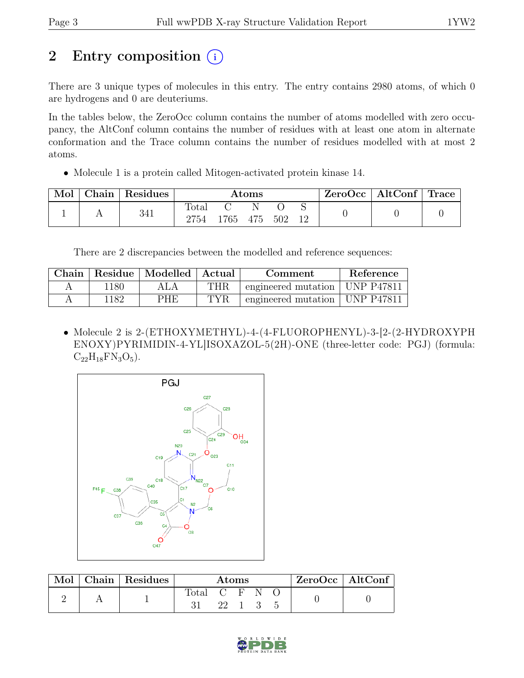# 2 Entry composition (i)

There are 3 unique types of molecules in this entry. The entry contains 2980 atoms, of which 0 are hydrogens and 0 are deuteriums.

In the tables below, the ZeroOcc column contains the number of atoms modelled with zero occupancy, the AltConf column contains the number of residues with at least one atom in alternate conformation and the Trace column contains the number of residues modelled with at most 2 atoms.

• Molecule 1 is a protein called Mitogen-activated protein kinase 14.

| Mol | Chain Residues | $\rm{Atoms}$           |      |          |     | ZeroOcc | $\vert$ AltConf $\vert$ Trace $\vert$ |  |  |
|-----|----------------|------------------------|------|----------|-----|---------|---------------------------------------|--|--|
|     | 341            | $\text{Total}$<br>2754 | 1765 | N<br>475 | 502 | 12      |                                       |  |  |

There are 2 discrepancies between the modelled and reference sequences:

| Chain |      | Residue   Modelled   Actual |            | Comment                          | Reference |
|-------|------|-----------------------------|------------|----------------------------------|-----------|
|       | 1180 | ALA                         | THR        | engineered mutation   UNP P47811 |           |
|       | 1182 | PHE                         | <b>TYR</b> | engineered mutation   UNP P47811 |           |

• Molecule 2 is 2-(ETHOXYMETHYL)-4-(4-FLUOROPHENYL)-3-[2-(2-HYDROXYPH ENOXY)PYRIMIDIN-4-YL]ISOXAZOL-5(2H)-ONE (three-letter code: PGJ) (formula:  $C_{22}H_{18}FN_3O_5$ .



| Mol | Chain Residues | Atoms         |      |  |  | $ZeroOcc \   \$ AltConf |  |
|-----|----------------|---------------|------|--|--|-------------------------|--|
|     |                | Total C F N O |      |  |  |                         |  |
|     |                |               | 22 1 |  |  |                         |  |

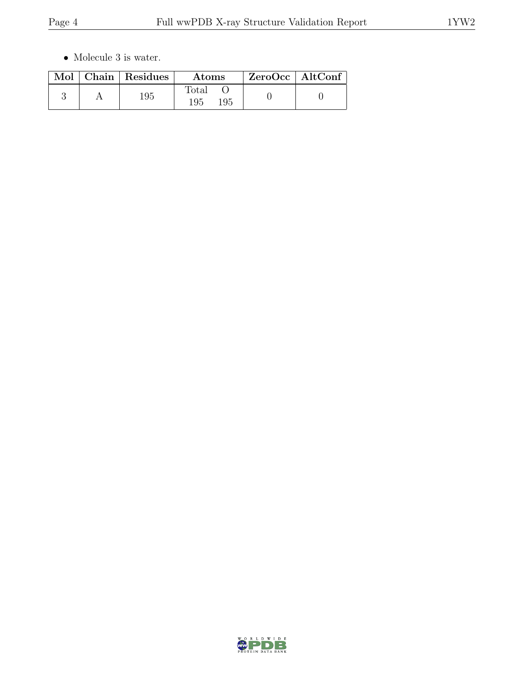$\bullet\,$  Molecule 3 is water.

|  | Mol   Chain   Residues | Atoms                        | $ZeroOcc \mid AltConf$ |  |
|--|------------------------|------------------------------|------------------------|--|
|  | 195                    | $_{\rm Total}$<br>195<br>195 |                        |  |

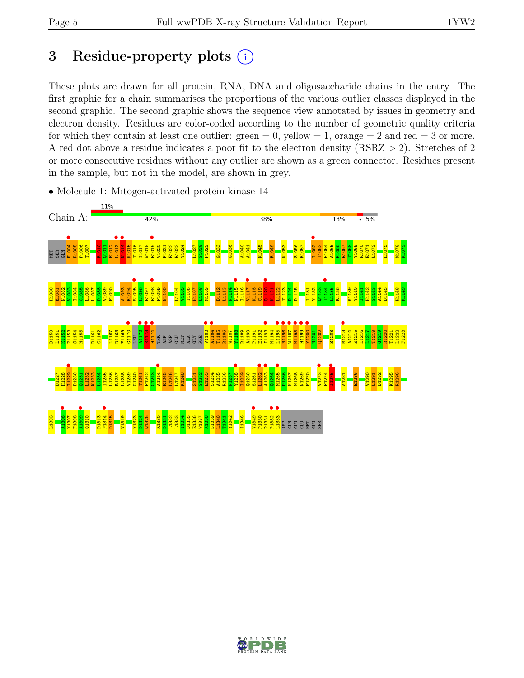# 3 Residue-property plots  $(i)$

These plots are drawn for all protein, RNA, DNA and oligosaccharide chains in the entry. The first graphic for a chain summarises the proportions of the various outlier classes displayed in the second graphic. The second graphic shows the sequence view annotated by issues in geometry and electron density. Residues are color-coded according to the number of geometric quality criteria for which they contain at least one outlier:  $green = 0$ , yellow  $= 1$ , orange  $= 2$  and red  $= 3$  or more. A red dot above a residue indicates a poor fit to the electron density (RSRZ > 2). Stretches of 2 or more consecutive residues without any outlier are shown as a green connector. Residues present in the sample, but not in the model, are shown in grey.



• Molecule 1: Mitogen-activated protein kinase 14

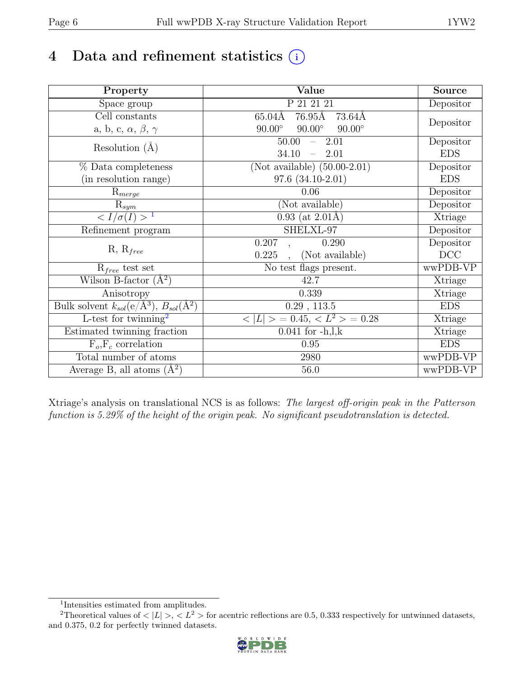# 4 Data and refinement statistics  $(i)$

| Property                                                             | Value                                           | Source     |
|----------------------------------------------------------------------|-------------------------------------------------|------------|
| Space group                                                          | P 21 21 21                                      | Depositor  |
| Cell constants                                                       | $76.95\text{\AA}$<br>65.04Å<br>73.64Å           |            |
| a, b, c, $\alpha$ , $\beta$ , $\gamma$                               | $90.00^\circ$<br>$90.00^\circ$<br>$90.00^\circ$ | Depositor  |
| Resolution $(A)$                                                     | $-2.01$<br>50.00                                | Depositor  |
|                                                                      | 34.10<br>$-2.01$                                | <b>EDS</b> |
| % Data completeness                                                  | (Not available) $(50.00-2.01)$                  | Depositor  |
| (in resolution range)                                                | $97.6(34.10-2.01)$                              | <b>EDS</b> |
| $R_{merge}$                                                          | 0.06                                            | Depositor  |
| $\mathrm{R}_{sym}$                                                   | (Not available)                                 | Depositor  |
| $\langle I/\sigma(I) \rangle$ <sup>1</sup>                           | $0.93$ (at 2.01Å)                               | Xtriage    |
| Refinement program                                                   | SHELXL-97                                       | Depositor  |
|                                                                      | 0.207<br>0.290                                  | Depositor  |
| $R, R_{free}$                                                        | 0.225<br>(Not available)                        | DCC        |
| $R_{free}$ test set                                                  | No test flags present.                          | wwPDB-VP   |
| Wilson B-factor $(A^2)$                                              | 42.7                                            | Xtriage    |
| Anisotropy                                                           | 0.339                                           | Xtriage    |
| Bulk solvent $k_{sol}(e/\mathring{A}^3)$ , $B_{sol}(\mathring{A}^2)$ | $0.29$ , $113.5$                                | <b>EDS</b> |
| L-test for twinning <sup>2</sup>                                     | $< L >$ = 0.45, $< L^2 >$ = 0.28                | Xtriage    |
| Estimated twinning fraction                                          | $0.041$ for $-h, l, k$                          | Xtriage    |
| $F_o, F_c$ correlation                                               | 0.95                                            | <b>EDS</b> |
| Total number of atoms                                                | 2980                                            | wwPDB-VP   |
| Average B, all atoms $(A^2)$                                         | 56.0                                            | wwPDB-VP   |

Xtriage's analysis on translational NCS is as follows: The largest off-origin peak in the Patterson function is 5.29% of the height of the origin peak. No significant pseudotranslation is detected.

<sup>&</sup>lt;sup>2</sup>Theoretical values of  $\langle |L| \rangle$ ,  $\langle L^2 \rangle$  for acentric reflections are 0.5, 0.333 respectively for untwinned datasets, and 0.375, 0.2 for perfectly twinned datasets.

![](_page_5_Picture_8.jpeg)

<span id="page-5-1"></span><span id="page-5-0"></span><sup>1</sup> Intensities estimated from amplitudes.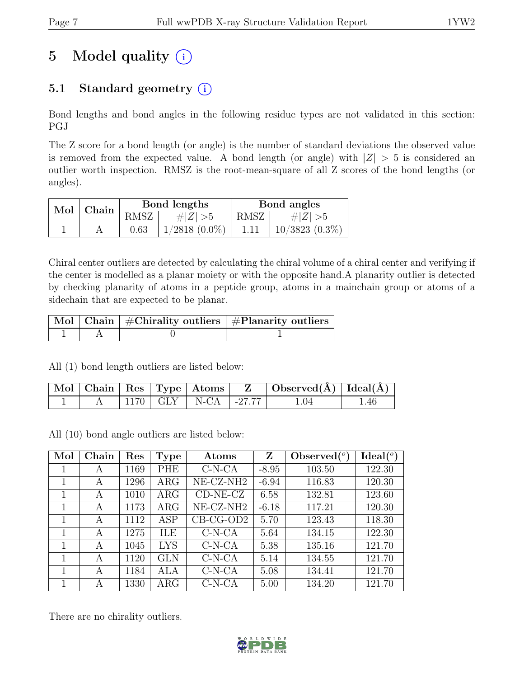# 5 Model quality  $(i)$

# 5.1 Standard geometry  $(i)$

Bond lengths and bond angles in the following residue types are not validated in this section: PGJ

The Z score for a bond length (or angle) is the number of standard deviations the observed value is removed from the expected value. A bond length (or angle) with  $|Z| > 5$  is considered an outlier worth inspection. RMSZ is the root-mean-square of all Z scores of the bond lengths (or angles).

| Mol   Chain |      | Bond lengths       | Bond angles |                  |  |
|-------------|------|--------------------|-------------|------------------|--|
|             | RMSZ | # $ Z  > 5$        | RMSZ        | $\# Z  > 5$      |  |
|             | 0.63 | $1/2818$ $(0.0\%)$ | 1.11        | $10/3823(0.3\%)$ |  |

Chiral center outliers are detected by calculating the chiral volume of a chiral center and verifying if the center is modelled as a planar moiety or with the opposite hand.A planarity outlier is detected by checking planarity of atoms in a peptide group, atoms in a mainchain group or atoms of a sidechain that are expected to be planar.

|  | $\lceil\,\mathrm{Mol}\,\rceil$ Chain $\mid$ #Chirality outliers $\mid$ #Planarity outliers $\mid$ |
|--|---------------------------------------------------------------------------------------------------|
|  |                                                                                                   |

All (1) bond length outliers are listed below:

|  |  |                            | $\mid$ Mol $\mid$ Chain $\mid$ Res $\mid$ Type $\mid$ Atoms $\mid$ $\mid$ Z $\mid$ Observed(A) $\mid$ Ideal(A) $\mid$ |      |
|--|--|----------------------------|-----------------------------------------------------------------------------------------------------------------------|------|
|  |  | $1170$ GLY   N-CA   -27.77 | .04                                                                                                                   | 1.46 |

All (10) bond angle outliers are listed below:

| Mol | Chain | Res  | Type       | Atoms                    | Z       | Observed $(°)$ | $Ideal({}^o)$ |
|-----|-------|------|------------|--------------------------|---------|----------------|---------------|
| 1   | А     | 1169 | PHE        | $C-N-CA$                 | $-8.95$ | 103.50         | 122.30        |
| 1   | А     | 1296 | $\rm{ARG}$ | NE-CZ-NH <sub>2</sub>    | $-6.94$ | 116.83         | 120.30        |
| 1   | A     | 1010 | $\rm{ARG}$ | $CD-NE- CZ$              | 6.58    | 132.81         | 123.60        |
| 1   | А     | 1173 | $\rm{ARG}$ | $NE-{\rm CZ\text{-}NH2}$ | $-6.18$ | 117.21         | 120.30        |
| 1   | А     | 1112 | <b>ASP</b> | $CB-CG-OD2$              | 5.70    | 123.43         | 118.30        |
| 1   | A     | 1275 | ILE        | $C-N-CA$                 | 5.64    | 134.15         | 122.30        |
| 1   | А     | 1045 | <b>LYS</b> | $C-N-CA$                 | 5.38    | 135.16         | 121.70        |
| 1   | А     | 1120 | <b>GLN</b> | $C-N-CA$                 | 5.14    | 134.55         | 121.70        |
| 1   | А     | 1184 | ALA        | $C-N-CA$                 | 5.08    | 134.41         | 121.70        |
|     | А     | 1330 | $\rm{ARG}$ | $C-N-CA$                 | 5.00    | 134.20         | 121.70        |

There are no chirality outliers.

![](_page_6_Picture_15.jpeg)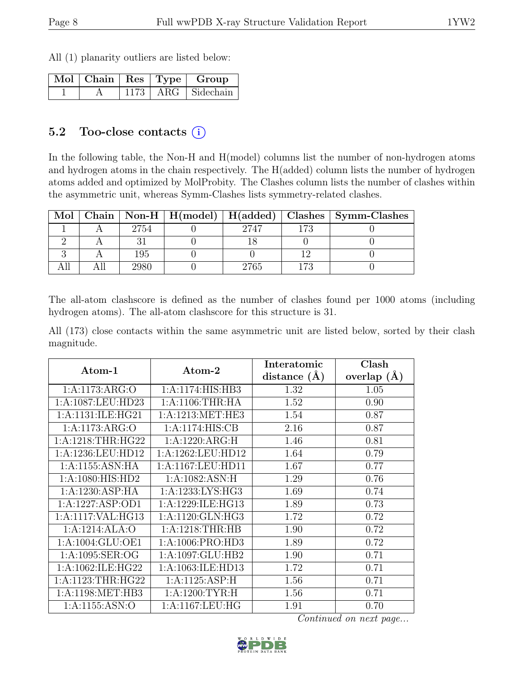All (1) planarity outliers are listed below:

|  |  | $\overline{\text{Mol}}$   Chain   Res   Type   Group |
|--|--|------------------------------------------------------|
|  |  | $1173$   ARG   Sidechain                             |

### 5.2 Too-close contacts  $(i)$

In the following table, the Non-H and H(model) columns list the number of non-hydrogen atoms and hydrogen atoms in the chain respectively. The H(added) column lists the number of hydrogen atoms added and optimized by MolProbity. The Clashes column lists the number of clashes within the asymmetric unit, whereas Symm-Clashes lists symmetry-related clashes.

| Mol |      |      |      | Chain   Non-H   H(model)   H(added)   Clashes   Symm-Clashes |
|-----|------|------|------|--------------------------------------------------------------|
|     | 2754 | 2747 | l 72 |                                                              |
|     |      |      |      |                                                              |
|     | 195  |      |      |                                                              |
|     |      | 2765 | 79   |                                                              |

The all-atom clashscore is defined as the number of clashes found per 1000 atoms (including hydrogen atoms). The all-atom clashscore for this structure is 31.

All (173) close contacts within the same asymmetric unit are listed below, sorted by their clash magnitude.

| Atom-1                         | Atom-2               | Interatomic    | Clash         |
|--------------------------------|----------------------|----------------|---------------|
|                                |                      | distance $(A)$ | overlap $(A)$ |
| 1:A:1173:ARG:O                 | 1:A:1174:HIS:HB3     | 1.32           | 1.05          |
| 1:A:1087:LEU:HD23              | 1: A:1106:THR:HA     | 1.52           | 0.90          |
| 1:A:1131:ILE:HG21              | 1:A:1213:MET:HE3     | 1.54           | 0.87          |
| 1: A:1173: ARG:O               | 1:A:1174:HIS:CB      | 2.16           | 0.87          |
| 1:A:1218:THR:HG22              | 1:A:1220:ARG:H       | 1.46           | 0.81          |
| 1:A:1236:LEU:HD12              | $1:$ A:1262:LEU:HD12 | 1.64           | 0.79          |
| 1: A:1155: ASN: HA             | 1:A:1167:LEU:HD11    | 1.67           | 0.77          |
| 1:A:1080:HIS:HD2               | 1:A:1082:ASN:H       | 1.29           | 0.76          |
| 1:A:1230:ASP:HA                | 1:A:1233:LYS:HG3     | 1.69           | 0.74          |
| 1:A:1227:ASP:OD1               | 1:A:1229:ILE:HG13    | 1.89           | 0.73          |
| 1:A:1117:VAL:HG13              | 1:A:1120:GLN:HG3     | 1.72           | 0.72          |
| 1:A:1214:ALA:O                 | 1: A:1218:THR:HB     | 1.90           | 0.72          |
| 1:A:1004:GLU:OE1               | 1:A:1006:PRO:HD3     | 1.89           | 0.72          |
| 1: A: 1095: SER: OG            | 1:A:1097:GLU:HB2     | 1.90           | 0.71          |
| 1:A:1062:ILE:HG22              | 1:A:1063:ILE:HD13    | 1.72           | 0.71          |
| $1:A:1123:THR:H\overline{G22}$ | 1:A:1125:ASP:H       | 1.56           | 0.71          |
| 1:A:1198:MET:HB3               | 1: A:1200: TYR:H     | 1.56           | 0.71          |
| 1:A:1155:ASN:O                 | 1: A:1167:LEU:HG     | 1.91           | 0.70          |

![](_page_7_Picture_12.jpeg)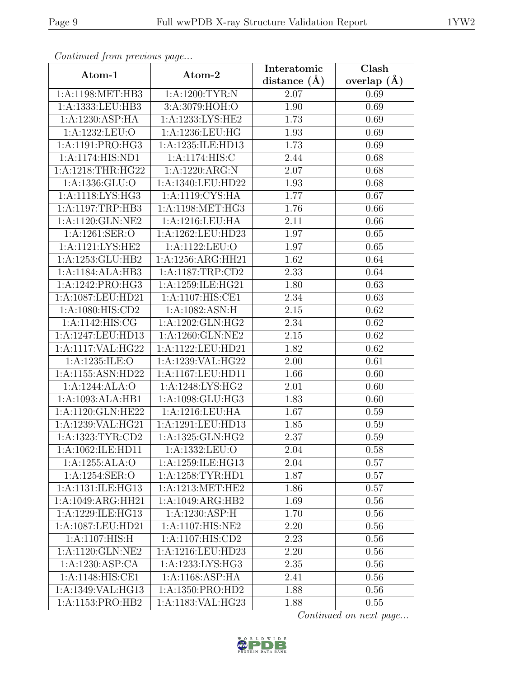| Continuation procession pugo |                    | Interatomic      | Clash         |
|------------------------------|--------------------|------------------|---------------|
| Atom-1                       | Atom-2             | distance $(\AA)$ | overlap $(A)$ |
| 1:A:1198:MET:HB3             | 1: A: 1200: TYR: N | 2.07             | 0.69          |
| 1:A:1333:LEU:HB3             | 3:A:3079:HOH:O     | 1.90             | 0.69          |
| 1:A:1230:ASP:HA              | 1:A:1233:LYS:HE2   | 1.73             | 0.69          |
| 1:A:1232:LEU:O               | 1:A:1236:LEU:HG    | 1.93             | 0.69          |
| 1:A:1191:PRO:HG3             | 1:A:1235:ILE:HD13  | 1.73             | 0.69          |
| 1:A:1174:HIS:ND1             | 1: A:1174: HIS:C   | 2.44             | 0.68          |
| 1:A:1218:THR:HG22            | 1:A:1220:ARG:N     | 2.07             | 0.68          |
| 1: A: 1336: GLU: O           | 1:A:1340:LEU:HD22  | 1.93             | 0.68          |
| 1:A:1118:LYS:HG3             | 1:A:1119:CYS:HA    | 1.77             | 0.67          |
| 1:A:1197:TRP:HB3             | 1:A:1198:MET:HG3   | 1.76             | 0.66          |
| 1:A:1120:GLN:NE2             | 1:A:1216:LEU:HA    | 2.11             | 0.66          |
| 1:A:1261:SER:O               | 1:A:1262:LEU:HD23  | 1.97             | 0.65          |
| 1: A:1121: LYS: HE2          | 1:A:1122:LEU:O     | 1.97             | 0.65          |
| 1:A:1253:GLU:HB2             | 1:A:1256:ARG:HH21  | 1.62             | 0.64          |
| 1:A:1184:ALA:HB3             | 1:A:1187:TRP:CD2   | 2.33             | 0.64          |
| 1:A:1242:PRO:HG3             | 1:A:1259:ILE:HG21  | 1.80             | 0.63          |
| 1:A:1087:LEU:HD21            | 1:A:1107:HIS:CE1   | 2.34             | 0.63          |
| 1: A:1080: HIS: CD2          | 1:A:1082:ASN:H     | $2.15\,$         | 0.62          |
| 1: A:1142: HIS: CG           | 1:A:1202:GLN:HG2   | 2.34             | $0.62\,$      |
| 1:A:1247:LEU:HD13            | 1:A:1260:GLN:NE2   | 2.15             | 0.62          |
| 1:A:1117:VAL:HG22            | 1:A:1122:LEU:HD21  | 1.82             | 0.62          |
| 1:A:1235:ILE:O               | 1:A:1239:VAL:HG22  | 2.00             | 0.61          |
| 1:A:1155:ASN:HD22            | 1:A:1167:LEU:HD11  | 1.66             | 0.60          |
| 1:A:1244:ALA:O               | 1:A:1248:LYS:HG2   | 2.01             | 0.60          |
| 1:A:1093:ALA:HB1             | 1:A:1098:GLU:HG3   | 1.83             | 0.60          |
| 1:A:1120:GLN:HE22            | 1:A:1216:LEU:HA    | 1.67             | 0.59          |
| 1:A:1239:VAL:HG21            | 1:A:1291:LEU:HD13  | 1.85             | 0.59          |
| 1:A:1323:TYR:CD2             | 1:A:1325:GLN:HG2   | 2.37             | 0.59          |
| 1:A:1062:ILE:HD11            | 1:A:1332:LEU:O     | 2.04             | 0.58          |
| 1:A:1255:ALA:O               | 1:A:1259:ILE:HG13  | 2.04             | 0.57          |
| 1:A:1254:SER:O               | 1:A:1258:TYR:HD1   | 1.87             | 0.57          |
| 1:A:1131:ILE:HG13            | 1:A:1213:MET:HE2   | 1.86             | 0.57          |
| 1:A:1049:ARG:HH21            | 1:A:1049:ARG:HB2   | 1.69             | 0.56          |
| 1:A:1229:ILE:HG13            | 1:A:1230:ASP:H     | 1.70             | 0.56          |
| 1:A:1087:LEU:HD21            | 1:A:1107:HIS:NE2   | 2.20             | 0.56          |
| 1:A:1107:HIS:H               | 1:A:1107:HIS:CD2   | 2.23             | 0.56          |
| 1:A:1120:GLN:NE2             | 1:A:1216:LEU:HD23  | 2.20             | 0.56          |
| 1:A:1230:ASP:CA              | 1:A:1233:LYS:HG3   | $2.35\,$         | 0.56          |
| 1:A:1148:HIS:CE1             | 1:A:1168:ASP:HA    | 2.41             | 0.56          |
| 1:A:1349:VAL:HG13            | 1:A:1350:PRO:HD2   | 1.88             | 0.56          |
| 1:A:1153:PRO:HB2             | 1:A:1183:VAL:HG23  | 1.88             | 0.55          |

![](_page_8_Picture_6.jpeg)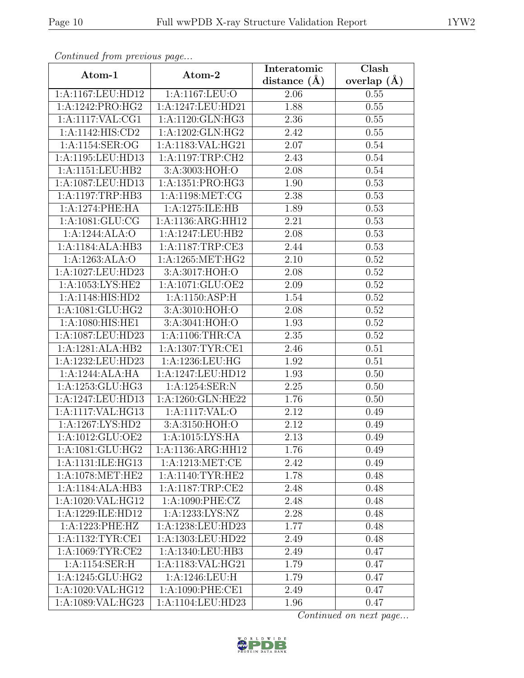|                      |                     | Interatomic    | Clash         |
|----------------------|---------------------|----------------|---------------|
| Atom-1               | Atom-2              | distance $(A)$ | overlap $(A)$ |
| 1:A:1167:LEU:HD12    | 1:A:1167:LEU:O      | 2.06           | 0.55          |
| 1:A:1242:PRO:HG2     | 1:A:1247:LEU:HD21   | 1.88           | 0.55          |
| 1:A:1117:VAL:CG1     | 1:A:1120:GLN:HG3    | 2.36           | 0.55          |
| 1: A:1142: HIS: CD2  | 1:A:1202:GLN:HG2    | 2.42           | 0.55          |
| 1:A:1154:SER:OG      | 1:A:1183:VAL:HG21   | 2.07           | 0.54          |
| 1:A:1195:LEU:HD13    | 1:A:1197:TRP:CH2    | 2.43           | 0.54          |
| 1:A:1151:LEU:HB2     | 3:A:3003:HOH:O      | 2.08           | 0.54          |
| 1:A:1087:LEU:HD13    | 1:A:1351:PRO:HG3    | 1.90           | 0.53          |
| 1:A:1197:TRP:HB3     | 1:A:1198:MET:CG     | 2.38           | 0.53          |
| 1:A:1274:PHE:HA      | 1:A:1275:ILE:HB     | 1.89           | 0.53          |
| 1: A: 1081: GLU: CG  | 1:A:1136:ARG:HH12   | 2.21           | 0.53          |
| 1:A:1244:ALA:O       | 1:A:1247:LEU:HB2    | 2.08           | 0.53          |
| 1:A:1184:ALA:HB3     | 1:A:1187:TRP:CE3    | 2.44           | 0.53          |
| 1:A:1263:ALA:O       | $1:$ A:1265:MET:HG2 | 2.10           | 0.52          |
| 1:A:1027:LEU:HD23    | 3:A:3017:HOH:O      | 2.08           | 0.52          |
| 1: A: 1053: LYS: HE2 | 1:A:1071:GLU:OE2    | 2.09           | $0.52\,$      |
| 1:A:1148:HIS:HD2     | 1:A:1150:ASP:H      | 1.54           | 0.52          |
| 1:A:1081:GLU:HG2     | 3:A:3010:HOH:O      | 2.08           | $0.52\,$      |
| 1:A:1080:HIS:HE1     | 3:A:3041:HOH:O      | 1.93           | $0.52\,$      |
| 1:A:1087:LEU:HD23    | 1:A:1106:THR:CA     | 2.35           | 0.52          |
| 1:A:1281:ALA:HB2     | 1:A:1307:TYR:CE1    | 2.46           | 0.51          |
| 1:A:1232:LEU:HD23    | 1:A:1236:LEU:HG     | 1.92           | 0.51          |
| 1:A:1244:ALA:HA      | 1:A:1247:LEU:HD12   | 1.93           | 0.50          |
| 1:A:1253:GLU:HG3     | 1:A:1254:SER:N      | 2.25           | 0.50          |
| 1:A:1247:LEU:HD13    | 1:A:1260:GLN:HE22   | 1.76           | 0.50          |
| 1:A:1117:VAL:HG13    | 1:A:1117:VAL:O      | 2.12           | 0.49          |
| 1:A:1267:LYS:HD2     | 3:A:3150:HOH:O      | 2.12           | 0.49          |
| 1:A:1012:GLU:OE2     | 1:A:1015:LYS:HA     | 2.13           | 0.49          |
| 1:A:1081:GLU:HG2     | 1:A:1136:ARG:HH12   | 1.76           | 0.49          |
| 1:A:1131:ILE:HG13    | 1:A:1213:MET:CE     | 2.42           | 0.49          |
| 1:A:1078:MET:HE2     | 1: A:1140: TYR: HE2 | 1.78           | 0.48          |
| 1:A:1184:ALA:HB3     | 1:A:1187:TRP:CE2    | 2.48           | 0.48          |
| 1:A:1020:VAL:HG12    | 1: A:1090: PHE: CZ  | 2.48           | 0.48          |
| 1:A:1229:ILE:HD12    | 1:A:1233:LYS:NZ     | 2.28           | 0.48          |
| 1:A:1223:PHE:HZ      | 1:A:1238:LEU:HD23   | 1.77           | 0.48          |
| 1:A:1132:TYR:CE1     | 1:A:1303:LEU:HD22   | 2.49           | 0.48          |
| 1:A:1069:TYR:CE2     | 1:A:1340:LEU:HB3    | 2.49           | 0.47          |
| 1:A:1154:SER:H       | 1:A:1183:VAL:HG21   | 1.79           | 0.47          |
| 1:A:1245:GLU:HG2     | 1:A:1246:LEU:H      | 1.79           | 0.47          |
| 1:A:1020:VAL:HG12    | 1:A:1090:PHE:CE1    | 2.49           | 0.47          |
| 1:A:1089:VAL:HG23    | 1:A:1104:LEU:HD23   | 1.96           | 0.47          |

![](_page_9_Picture_6.jpeg)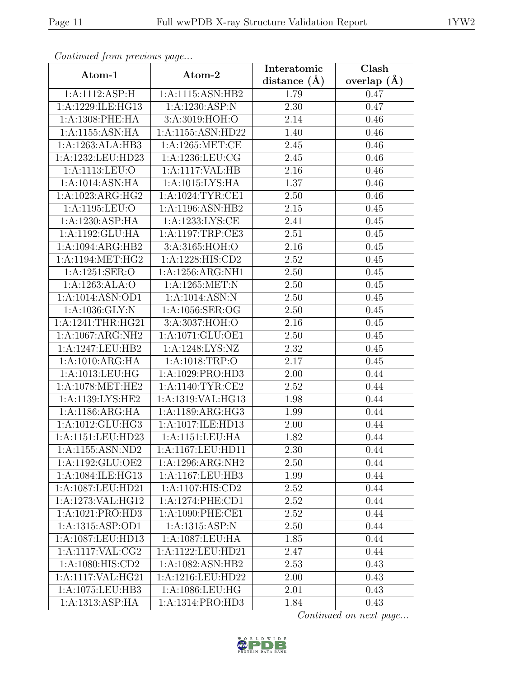|                     |                     | Interatomic       | Clash         |
|---------------------|---------------------|-------------------|---------------|
| Atom-1              | Atom-2              | distance $(\AA)$  | overlap $(A)$ |
| 1:A:1112:ASP:H      | 1:A:1115:ASN:HB2    | 1.79              | 0.47          |
| 1:A:1229:ILE:HG13   | 1:A:1230:ASP:N      | 2.30              | 0.47          |
| 1: A:1308: PHE: HA  | 3:A:3019:HOH:O      | 2.14              | 0.46          |
| 1:A:1155:ASN:HA     | 1:A:1155:ASN:HD22   | 1.40              | 0.46          |
| 1:A:1263:ALA:HB3    | 1:A:1265:MET:CE     | 2.45              | 0.46          |
| 1:A:1232:LEU:HD23   | 1: A: 1236: LEU: CG | 2.45              | 0.46          |
| 1:A:1113:LEU:O      | 1:A:1117:VAL:HB     | 2.16              | 0.46          |
| 1:A:1014:ASN:HA     | 1: A: 1015: LYS: HA | 1.37              | 0.46          |
| 1:A:1023:ARG:HG2    | 1:A:1024:TYR:CE1    | 2.50              | 0.46          |
| 1:A:1195:LEU:O      | 1:A:1196:ASN:HB2    | $2.15\,$          | 0.45          |
| 1:A:1230:ASP:HA     | 1:A:1233:LYS:CE     | 2.41              | 0.45          |
| 1:A:1192:GLU:HA     | 1:A:1197:TRP:CE3    | 2.51              | 0.45          |
| 1:A:1094:ARG:HB2    | 3:A:3165:HOH:O      | 2.16              | 0.45          |
| 1:A:1194:MET:HG2    | 1:A:1228:HIS:CD2    | 2.52              | 0.45          |
| 1:A:1251:SER:O      | 1:A:1256:ARG:NH1    | 2.50              | 0.45          |
| 1:A:1263:ALA:O      | 1:A:1265:MET:N      | 2.50              | 0.45          |
| 1:A:1014:ASN:OD1    | 1:A:1014:ASN:N      | 2.50              | 0.45          |
| 1: A: 1036: GLY: N  | 1:A:1056:SER:OG     | 2.50              | 0.45          |
| 1:A:1241:THR:HG21   | 3:A:3037:HOH:O      | 2.16              | 0.45          |
| 1:A:1067:ARG:NH2    | 1:A:1071:GLU:OE1    | 2.50              | 0.45          |
| 1:A:1247:LEU:HB2    | 1:A:1248:LYS:NZ     | 2.32              | 0.45          |
| 1:A:1010:ARG:HA     | 1:A:1018:TRP:O      | 2.17              | 0.45          |
| 1:A:1013:LEU:HG     | 1:A:1029:PRO:HD3    | 2.00              | 0.44          |
| 1:A:1078:MET:HE2    | 1:A:1140:TYR:CE2    | $\overline{2.52}$ | 0.44          |
| 1: A:1139: LYS: HE2 | 1:A:1319:VAL:HG13   | 1.98              | 0.44          |
| 1:A:1186:ARG:HA     | 1:A:1189:ARG:HG3    | 1.99              | 0.44          |
| 1:A:1012:GLU:HG3    | 1:A:1017:ILE:HD13   | 2.00              | 0.44          |
| 1:A:1151:LEU:HD23   | 1:A:1151:LEU:HA     | 1.82              | 0.44          |
| 1:A:1155:ASN:ND2    | 1:A:1167:LEU:HD11   | 2.30              | 0.44          |
| 1:A:1192:GLU:OE2    | 1:A:1296:ARG:NH2    | 2.50              | 0.44          |
| 1:A:1084:ILE:HG13   | 1:A:1167:LEU:HB3    | 1.99              | 0.44          |
| 1:A:1087:LEU:HD21   | 1:A:1107:HIS:CD2    | 2.52              | 0.44          |
| 1:A:1273:VAL:HG12   | 1:A:1274:PHE:CD1    | 2.52              | 0.44          |
| 1:A:1021:PRO:HD3    | 1:A:1090:PHE:CE1    | 2.52              | 0.44          |
| 1:A:1315:ASP:OD1    | 1:A:1315:ASP:N      | 2.50              | 0.44          |
| 1:A:1087:LEU:HD13   | 1:A:1087:LEU:HA     | 1.85              | 0.44          |
| 1:A:1117:VAL:CG2    | 1:A:1122:LEU:HD21   | 2.47              | 0.44          |
| 1: A:1080: HIS: CD2 | 1:A:1082:ASN:HB2    | 2.53              | 0.43          |
| 1:A:1117:VAL:HG21   | 1:A:1216:LEU:HD22   | 2.00              | 0.43          |
| 1:A:1075:LEU:HB3    | 1:A:1086:LEU:HG     | 2.01              | 0.43          |
| 1:A:1313:ASP:HA     | 1:A:1314:PRO:HD3    | 1.84              | 0.43          |

![](_page_10_Picture_6.jpeg)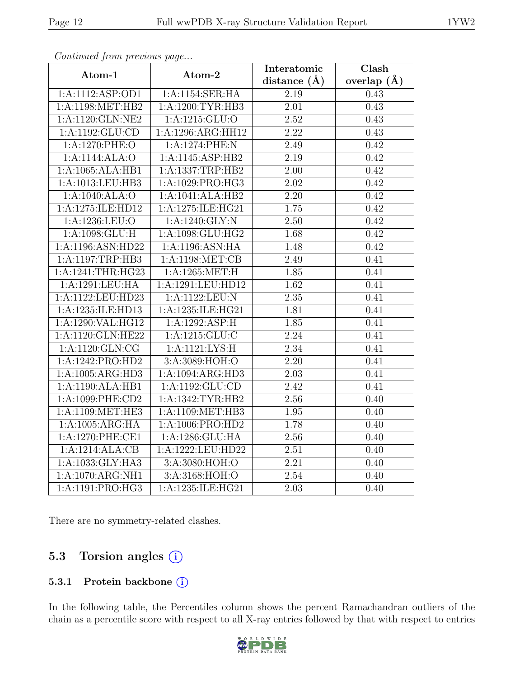|                              |                   | Interatomic       | Clash           |
|------------------------------|-------------------|-------------------|-----------------|
| Atom-1                       | Atom-2            | distance $(A)$    | overlap $(\AA)$ |
| 1:A:1112:ASP:OD1             | 1:A:1154:SER:HA   | 2.19              | 0.43            |
| $1:$ A:1198:MET:HB2          | 1:A:1200:TYR:HB3  | $\overline{2.01}$ | 0.43            |
| 1:A:1120:GLN:NE2             | $1:$ A:1215:GLU:O | 2.52              | 0.43            |
| 1:A:1192:GLU:CD              | 1:A:1296:ARG:HH12 | 2.22              | 0.43            |
| 1:A:1270:PHE:O               | 1:A:1274:PHE:N    | 2.49              | 0.42            |
| 1:A:1144:ALA:O               | 1:A:1145:ASP:HB2  | 2.19              | 0.42            |
| 1:A:1065:ALA:HB1             | 1:A:1337:TRP:HB2  | $\overline{2.00}$ | 0.42            |
| 1:A:1013:LEU:HB3             | 1:A:1029:PRO:HG3  | 2.02              | 0.42            |
| 1:A:1040:ALA:O               | 1:A:1041:ALA:HB2  | 2.20              | 0.42            |
| 1:A:1275:ILE:HD12            | 1:A:1275:ILE:HG21 | 1.75              | 0.42            |
| 1:A:1236:LEU:O               | 1:A:1240:GLY:N    | 2.50              | 0.42            |
| 1:A:1098:GLU:H               | 1:A:1098:GLU:HG2  | 1.68              | 0.42            |
| 1:A:1196:ASN:HD22            | 1:A:1196:ASN:HA   | 1.48              | 0.42            |
| 1:A:1197:TRP:HB3             | 1:A:1198:MET:CB   | 2.49              | 0.41            |
| 1:A:1241:THR:HG23            | 1:A:1265:MET:H    | 1.85              | 0.41            |
| 1:A:1291:LEU:HA              | 1:A:1291:LEU:HD12 | 1.62              | 0.41            |
| 1:A:1122:LEU:HD23            | 1:A:1122:LEU:N    | 2.35              | 0.41            |
| 1:A:1235:ILE:HD13            | 1:A:1235:ILE:HG21 | 1.81              | 0.41            |
| 1:A:1290:VAL:HG12            | 1:A:1292:ASP:H    | 1.85              | 0.41            |
| 1:A:1120:GLN:HE22            | 1:A:1215:GLU:C    | 2.24              | 0.41            |
| $1:A:1120:\overline{GLN:CG}$ | 1: A:1121: LYS:H  | 2.34              | 0.41            |
| 1:A:1242:PRO:HD2             | 3:A:3089:HOH:O    | $\overline{2.20}$ | 0.41            |
| 1:A:1005:ARG:HD3             | 1:A:1094:ARG:HD3  | $\overline{2.03}$ | 0.41            |
| 1:A:1190:ALA:HB1             | 1:A:1192:GLU:CD   | 2.42              | 0.41            |
| 1:A:1099:PHE:CD2             | 1:A:1342:TYR:HB2  | 2.56              | 0.40            |
| 1:A:1109:MET:HE3             | 1:A:1109:MET:HB3  | 1.95              | 0.40            |
| 1:A:1005:ARG:HA              | 1:A:1006:PRO:HD2  | 1.78              | 0.40            |
| 1:A:1270:PHE:CE1             | 1:A:1286:GLU:HA   | 2.56              | 0.40            |
| 1:A:1214:ALA:CB              | 1:A:1222:LEU:HD22 | 2.51              | 0.40            |
| 1:A:1033:GLY:HA3             | 3:A:3080:HOH:O    | 2.21              | 0.40            |
| 1:A:1070:ARG:NH1             | 3:A:3168:HOH:O    | 2.54              | 0.40            |
| 1:A:1191:PRO:HG3             | 1:A:1235:ILE:HG21 | 2.03              | 0.40            |

There are no symmetry-related clashes.

# 5.3 Torsion angles (i)

#### 5.3.1 Protein backbone (i)

In the following table, the Percentiles column shows the percent Ramachandran outliers of the chain as a percentile score with respect to all X-ray entries followed by that with respect to entries

![](_page_11_Picture_9.jpeg)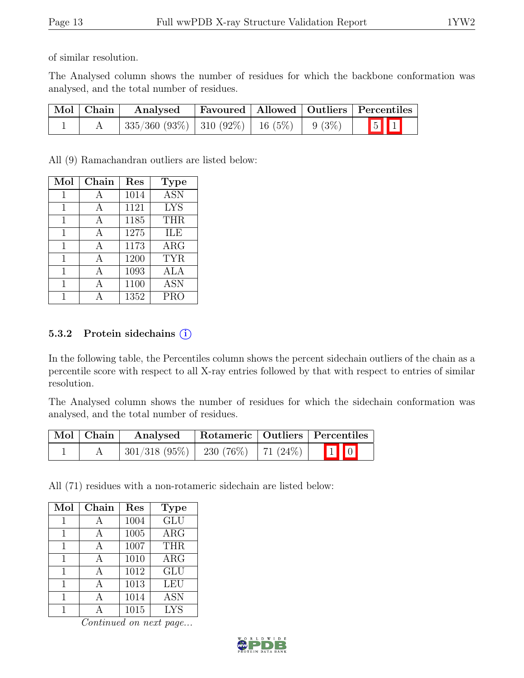of similar resolution.

The Analysed column shows the number of residues for which the backbone conformation was analysed, and the total number of residues.

| Mol Chain | Analysed                                        |  | Favoured   Allowed   Outliers   Percentiles |
|-----------|-------------------------------------------------|--|---------------------------------------------|
|           | $335/360 (93\%)$   310 (92%)   16 (5%)   9 (3%) |  | $\boxed{5}$ $\boxed{1}$                     |

All (9) Ramachandran outliers are listed below:

| Mol | Chain | Res  | <b>Type</b> |
|-----|-------|------|-------------|
| 1   | А     | 1014 | <b>ASN</b>  |
| 1   | А     | 1121 | <b>LYS</b>  |
| 1   | А     | 1185 | <b>THR</b>  |
| 1   | A     | 1275 | ILE         |
| 1   | A     | 1173 | $\rm{ARG}$  |
| 1   | A     | 1200 | <b>TYR</b>  |
| 1   | А     | 1093 | ALA         |
| 1   |       | 1100 | <b>ASN</b>  |
|     |       | 1352 | PRO         |

#### 5.3.2 Protein side chains  $(i)$

In the following table, the Percentiles column shows the percent sidechain outliers of the chain as a percentile score with respect to all X-ray entries followed by that with respect to entries of similar resolution.

The Analysed column shows the number of residues for which the sidechain conformation was analysed, and the total number of residues.

| Mol   Chain | Analysed |  | Rotameric   Outliers   Percentiles |
|-------------|----------|--|------------------------------------|
|             |          |  |                                    |

All (71) residues with a non-rotameric sidechain are listed below:

| Mol | Chain | Res  | <b>Type</b>             |
|-----|-------|------|-------------------------|
| 1   | А     | 1004 | $\overline{\text{GLU}}$ |
| 1   | А     | 1005 | $\rm{ARG}$              |
| 1   |       | 1007 | <b>THR</b>              |
| 1   |       | 1010 | $\rm{ARG}$              |
| 1   | А     | 1012 | GLU                     |
| 1   |       | 1013 | LEU                     |
| 1   |       | 1014 | <b>ASN</b>              |
|     |       | 1015 | <b>LYS</b>              |

![](_page_12_Picture_15.jpeg)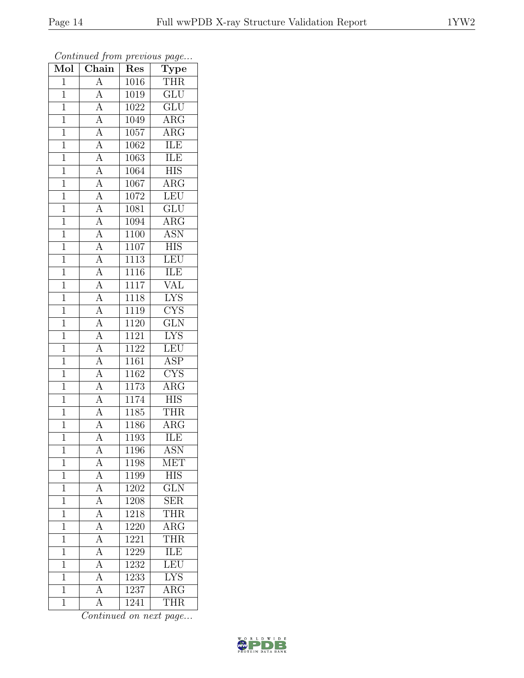| $\overline{\text{Mol}}$ | $\boldsymbol{\mathcal{J}}$<br>$\overline{\text{Chain}}$                                                     | Res               | $\overline{ }$<br>$\overline{v}$<br>$\overline{\text{Type}}$ |
|-------------------------|-------------------------------------------------------------------------------------------------------------|-------------------|--------------------------------------------------------------|
| $\overline{1}$          | $\overline{A}$                                                                                              | 1016              | <b>THR</b>                                                   |
| $\overline{1}$          | A                                                                                                           | 1019              | $\overline{\text{GLU}}$                                      |
| $\overline{1}$          | $\overline{A}$                                                                                              | 1022              | $\overline{\text{GLU}}$                                      |
| $\mathbf{1}$            | $\overline{A}$                                                                                              | 1049              | $\rm{ARG}$                                                   |
| $\overline{1}$          | $\frac{\overline{A}}{\overline{A}}$                                                                         | 1057              | $\overline{\rm{ARG}}$                                        |
| $\overline{1}$          |                                                                                                             | 1062              | ILE                                                          |
| $\overline{1}$          | $\overline{A}$                                                                                              | 1063              | ILE                                                          |
| $\mathbf{1}$            | $\overline{A}$                                                                                              | 1064              | <b>HIS</b>                                                   |
| $\mathbf{1}$            |                                                                                                             | 1067              | ARG                                                          |
| $\mathbf{1}$            |                                                                                                             | 1072              | LEU                                                          |
| $\mathbf{1}$            |                                                                                                             | 1081              | GLU                                                          |
| $\overline{1}$          |                                                                                                             | 1094              | $\overline{\rm{ARG}}$                                        |
| $\overline{1}$          |                                                                                                             | 1100              | <b>ASN</b>                                                   |
| $\mathbf{1}$            | $\frac{\overline{A}}{\overline{A}}$ $\frac{\overline{A}}{\overline{A}}$ $\frac{\overline{A}}{\overline{A}}$ | 1107              | HIS                                                          |
| $\mathbf{1}$            | $\overline{A}$                                                                                              | 1113              | $\overline{\text{LEU}}$                                      |
| $\overline{1}$          | $\overline{A}$                                                                                              | 1116              | ILE                                                          |
| $\overline{1}$          |                                                                                                             | 1117              | $\overline{\text{VAL}}$                                      |
| $\mathbf{1}$            | $\frac{\overline{A}}{\overline{A}}$                                                                         | $\overline{1}118$ | <b>LYS</b>                                                   |
| $\mathbf{1}$            |                                                                                                             | 1119              | <b>CYS</b>                                                   |
| $\overline{1}$          | $\overline{A}$                                                                                              | 1120              | GLN                                                          |
| $\mathbf 1$             | $\overline{A}$                                                                                              | 1121              | <b>LYS</b>                                                   |
| $\overline{1}$          | $\overline{A}$                                                                                              | 1122              | LEU                                                          |
| $\mathbf 1$             | $\frac{1}{\mathbf{A}}$                                                                                      | 1161              | <b>ASP</b>                                                   |
| $\overline{1}$          | $\overline{A}$                                                                                              | 1162              | $\overline{\text{CYS}}$                                      |
| $\mathbf{1}$            | $\overline{A}$                                                                                              | 1173              | ARG                                                          |
| $\overline{1}$          | $\overline{A}$                                                                                              | 1174              | $\overline{H}$ IS                                            |
| $\overline{1}$          | $\frac{\overline{A}}{\overline{A}}$                                                                         | 1185              | <b>THR</b>                                                   |
| $\mathbf{1}$            |                                                                                                             | 1186              | $AR\overline{G}$                                             |
| $\mathbf 1$             | $\overline{A}$                                                                                              | 1193              | <b>ILE</b>                                                   |
| 1                       | А                                                                                                           | 1196              | ASN                                                          |
| $\mathbf 1$             | А                                                                                                           | 1198              | MET                                                          |
| $\overline{1}$          | $\overline{A}$                                                                                              | 1199              | <b>HIS</b>                                                   |
| 1                       | $\overline{A}$                                                                                              | 1202              | <b>GLN</b>                                                   |
| $\mathbf 1$             | $\overline{A}$                                                                                              | 1208              | $\overline{\text{SER}}$                                      |
| 1                       | $\overline{A}$                                                                                              | 1218              | <b>THR</b>                                                   |
| 1                       | $\overline{\rm A}$                                                                                          | 1220              | $\overline{\rm{ARG}}$                                        |
| 1                       | $\overline{A}$                                                                                              | 1221              | <b>THR</b>                                                   |
| 1                       | $\overline{A}$                                                                                              | 1229              | ILE                                                          |
| 1                       | $\overline{A}$                                                                                              | 1232              | LEU                                                          |
| 1                       | Ā                                                                                                           | 1233              | <b>LYS</b>                                                   |
| $\overline{1}$          | $\overline{\rm A}$                                                                                          | 1237              | $\rm{ARG}$                                                   |
| $\mathbf 1$             | А                                                                                                           | 1241              | <b>THR</b>                                                   |

![](_page_13_Picture_6.jpeg)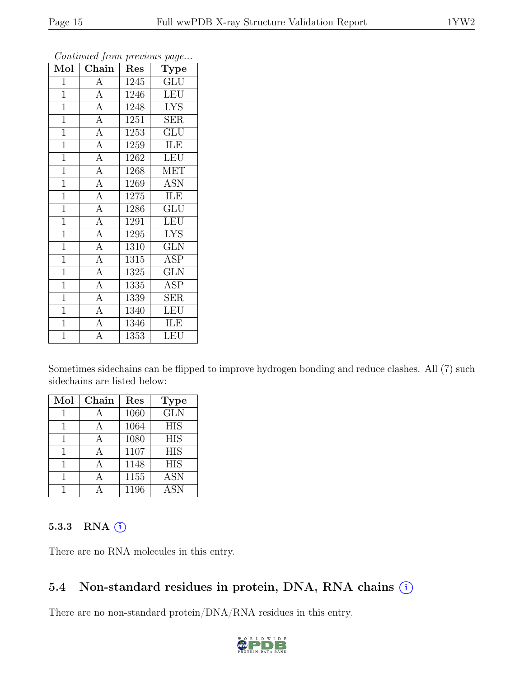|                         | $\boldsymbol{\theta}$ |      | $\overline{v}$            |
|-------------------------|-----------------------|------|---------------------------|
| $\overline{\text{Mol}}$ | Chain                 | Res  | $\mathrm{\bar{Ty}pe}$     |
| 1                       | А                     | 1245 | <b>GLU</b>                |
| $\mathbf{1}$            | $\overline{A}$        | 1246 | <b>LEU</b>                |
| $\mathbf{1}$            | $\overline{A}$        | 1248 | <b>LYS</b>                |
| $\mathbf{1}$            | $\overline{A}$        | 1251 | <b>SER</b>                |
| $\overline{1}$          | $\overline{A}$        | 1253 | $\overline{\mathrm{GLU}}$ |
| $\mathbf{1}$            | $\overline{\rm A}$    | 1259 | ILE                       |
| $\overline{1}$          | $\overline{A}$        | 1262 | <b>LEU</b>                |
| $\mathbf{1}$            | $\overline{A}$        | 1268 | <b>MET</b>                |
| $\mathbf{1}$            | $\overline{A}$        | 1269 | <b>ASN</b>                |
| $\mathbf{1}$            | $\overline{A}$        | 1275 | <b>ILE</b>                |
| $\mathbf{1}$            | $\overline{A}$        | 1286 | <b>GLU</b>                |
| $\overline{1}$          | $\overline{A}$        | 1291 | LEU                       |
| $\mathbf{1}$            | $\overline{A}$        | 1295 | <b>LYS</b>                |
| $\mathbf{1}$            | $\overline{A}$        | 1310 | <b>GLN</b>                |
| $\mathbf{1}$            | $\overline{A}$        | 1315 | ASP                       |
| $\mathbf{1}$            | $\overline{A}$        | 1325 | <b>GLN</b>                |
| $\mathbf{1}$            | $\overline{A}$        | 1335 | <b>ASP</b>                |
| $\mathbf{1}$            | $\overline{A}$        | 1339 | SER                       |
| $\mathbf{1}$            | $\overline{A}$        | 1340 | LEU                       |
| $\mathbf{1}$            | $\overline{A}$        | 1346 | ILE                       |
| $\overline{1}$          | $\overline{\rm A}$    | 1353 | LEU                       |

Sometimes sidechains can be flipped to improve hydrogen bonding and reduce clashes. All (7) such sidechains are listed below:

| Mol | Chain | Res  | Type       |
|-----|-------|------|------------|
|     |       | 1060 | <b>GLN</b> |
|     |       | 1064 | <b>HIS</b> |
| 1   |       | 1080 | <b>HIS</b> |
|     |       | 1107 | <b>HIS</b> |
| 1   |       | 1148 | <b>HIS</b> |
|     |       | 1155 | <b>ASN</b> |
|     |       | 1196 | <b>ASN</b> |

#### 5.3.3 RNA  $(i)$

There are no RNA molecules in this entry.

### 5.4 Non-standard residues in protein, DNA, RNA chains (i)

There are no non-standard protein/DNA/RNA residues in this entry.

![](_page_14_Picture_11.jpeg)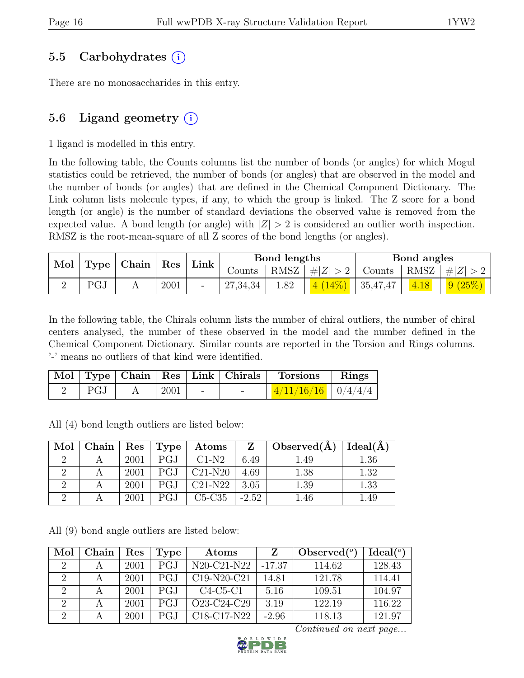### 5.5 Carbohydrates (i)

There are no monosaccharides in this entry.

### 5.6 Ligand geometry  $(i)$

1 ligand is modelled in this entry.

In the following table, the Counts columns list the number of bonds (or angles) for which Mogul statistics could be retrieved, the number of bonds (or angles) that are observed in the model and the number of bonds (or angles) that are defined in the Chemical Component Dictionary. The Link column lists molecule types, if any, to which the group is linked. The Z score for a bond length (or angle) is the number of standard deviations the observed value is removed from the expected value. A bond length (or angle) with  $|Z| > 2$  is considered an outlier worth inspection. RMSZ is the root-mean-square of all Z scores of the bond lengths (or angles).

| Mol |     | $\mid$ Type $\mid$ Chain $\mid$ Res $\mid$ Link $\mid$ |      |          | Bond lengths |                                                                        | Bond angles |        |
|-----|-----|--------------------------------------------------------|------|----------|--------------|------------------------------------------------------------------------|-------------|--------|
|     |     |                                                        |      | Counts   |              | $\vert$ RMSZ $\vert \#  Z  > 2$ Counts $\vert$ RMSZ $\vert \#  Z  > 2$ |             |        |
|     | PGJ |                                                        | 2001 | 27,34,34 | 1.82         | $\left  \frac{4(14\%)}{4(14\%)} \right $ 35,47,47                      | 4.18        | 9(25%) |

In the following table, the Chirals column lists the number of chiral outliers, the number of chiral centers analysed, the number of these observed in the model and the number defined in the Chemical Component Dictionary. Similar counts are reported in the Torsion and Rings columns. '-' means no outliers of that kind were identified.

|     |      |        | Mol   Type   Chain   Res   Link   Chirals   Torsions   Rings |  |
|-----|------|--------|--------------------------------------------------------------|--|
| PGJ | 2001 | $\sim$ | $\vert$ 4/11/16/16 $\vert$ 0/4/4/4 $\vert$                   |  |

All (4) bond length outliers are listed below:

| Mol | Chain | $\operatorname{Res}$ | Type | Atoms     | Z       | Observed(A) | Ideal(A) |
|-----|-------|----------------------|------|-----------|---------|-------------|----------|
|     |       | 2001                 | PGJ  | $C1-N2$   | 6.49    | .49         | $1.36\,$ |
|     |       | 2001                 | PGJ  | $C21-N20$ | 4.69    | 1.38        | 1.32     |
|     |       | 2001                 | PGJ  | $C21-N22$ | 3.05    | $1.39\,$    | 1.33     |
|     |       | 2001                 | PGJ  | $C5-C35$  | $-2.52$ | .46         | 1.49     |

All (9) bond angle outliers are listed below:

| Mol                         | Chain | Res  | Type       | $\rm{Atoms}$                                      | Z        | Observed $(°)$ | Ideal <sup>(o)</sup> |
|-----------------------------|-------|------|------------|---------------------------------------------------|----------|----------------|----------------------|
| $\mathcal{D}_{\mathcal{L}}$ |       | 2001 | <b>PGJ</b> | $N20-C21-N22$                                     | $-17.37$ | 114.62         | 128.43               |
| 2                           |       | 2001 | PGJ        | $C19-N20-C21$                                     | 14.81    | 121.78         | 114.41               |
| $\overline{2}$              | A     | 2001 | PGJ        | $C4-C5-C1$                                        | 5.16     | 109.51         | 104.97               |
| 2                           |       | 2001 | PGJ        | O <sub>23</sub> -C <sub>24</sub> -C <sub>29</sub> | 3.19     | 122.19         | 116.22               |
|                             |       | 2001 | PGJ        | $C18-C17-N22$                                     | $-2.96$  | 118.13         | 121.97               |

![](_page_15_Picture_16.jpeg)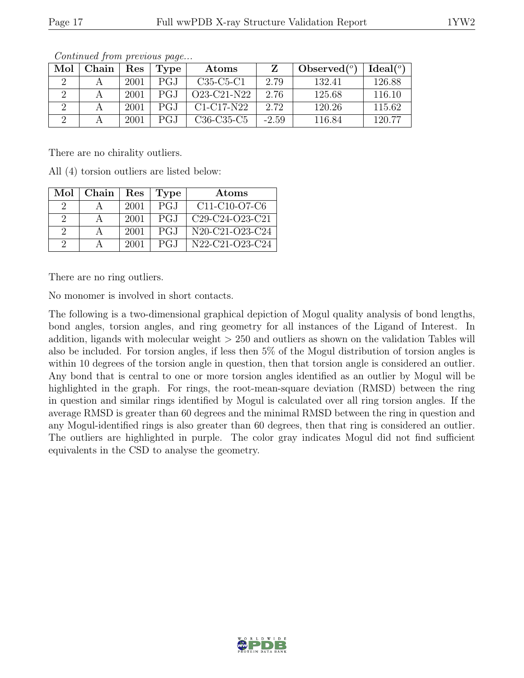| Mol | ${\rm Chain}$ | Res  | Type | Atoms                                            |         | Observed $(°)$ | Ideal <sup>(o)</sup> |
|-----|---------------|------|------|--------------------------------------------------|---------|----------------|----------------------|
|     |               | 2001 | PGJ  | $C35-C5-C1$                                      | 2.79    | 132.41         | 126.88               |
|     |               | 2001 | PGJ  | $O23-C21-N22$                                    | 2.76    | 125.68         | 116.10               |
|     |               | 2001 | PGJ  | $C1-C17-N22$                                     | 2.72    | 120.26         | 115.62               |
|     |               | 2001 | PGJ  | C <sub>36</sub> -C <sub>35</sub> -C <sub>5</sub> | $-2.59$ | 116.84         | 120.77               |

There are no chirality outliers.

All (4) torsion outliers are listed below:

| Mol                         | Chain | Res  | Type | Atoms                                                              |
|-----------------------------|-------|------|------|--------------------------------------------------------------------|
| $\ddot{\phantom{0}}$        |       | 2001 | PGJ  | $C11-C10-C7-C6$                                                    |
| 9                           |       | 2001 | PGJ  | C <sub>29</sub> -C <sub>24</sub> -O <sub>23</sub> -C <sub>21</sub> |
| $\mathcal{D}_{\mathcal{L}}$ |       | 2001 | PGJ  | N20-C21-O23-C24                                                    |
| റ                           |       | 2001 | PGJ  | N22-C21-O23-C24                                                    |

There are no ring outliers.

No monomer is involved in short contacts.

The following is a two-dimensional graphical depiction of Mogul quality analysis of bond lengths, bond angles, torsion angles, and ring geometry for all instances of the Ligand of Interest. In addition, ligands with molecular weight > 250 and outliers as shown on the validation Tables will also be included. For torsion angles, if less then 5% of the Mogul distribution of torsion angles is within 10 degrees of the torsion angle in question, then that torsion angle is considered an outlier. Any bond that is central to one or more torsion angles identified as an outlier by Mogul will be highlighted in the graph. For rings, the root-mean-square deviation (RMSD) between the ring in question and similar rings identified by Mogul is calculated over all ring torsion angles. If the average RMSD is greater than 60 degrees and the minimal RMSD between the ring in question and any Mogul-identified rings is also greater than 60 degrees, then that ring is considered an outlier. The outliers are highlighted in purple. The color gray indicates Mogul did not find sufficient equivalents in the CSD to analyse the geometry.

![](_page_16_Picture_11.jpeg)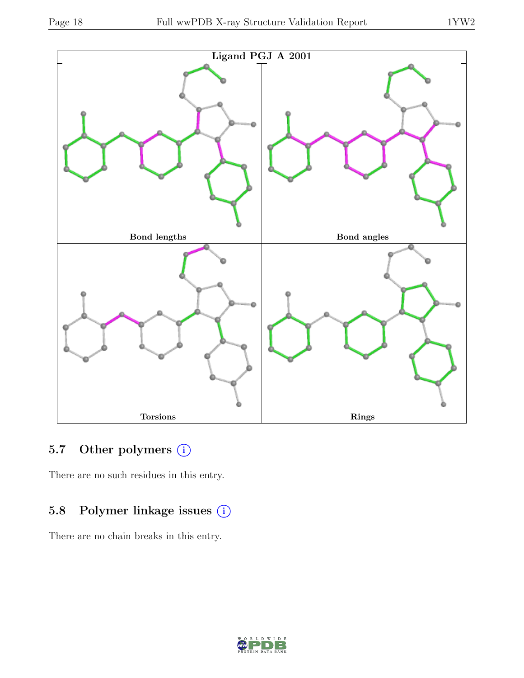![](_page_17_Figure_3.jpeg)

# 5.7 Other polymers (i)

There are no such residues in this entry.

# 5.8 Polymer linkage issues (i)

There are no chain breaks in this entry.

![](_page_17_Picture_8.jpeg)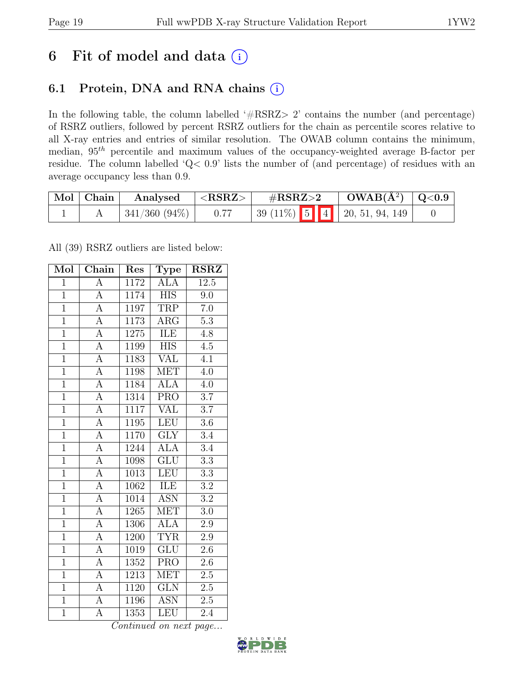# 6 Fit of model and data  $(i)$

## 6.1 Protein, DNA and RNA chains (i)

In the following table, the column labelled ' $\#\text{RSRZ}>2$ ' contains the number (and percentage) of RSRZ outliers, followed by percent RSRZ outliers for the chain as percentile scores relative to all X-ray entries and entries of similar resolution. The OWAB column contains the minimum, median,  $95<sup>th</sup>$  percentile and maximum values of the occupancy-weighted average B-factor per residue. The column labelled 'Q< 0.9' lists the number of (and percentage) of residues with an average occupancy less than 0.9.

| Mol   Chain | Analysed        | $\Delta < \mathrm{RSRZ} > 0$ | $\#\text{RSRZ}\text{>2}$       | $OWAB(A^2)   Q<0.9$ |  |
|-------------|-----------------|------------------------------|--------------------------------|---------------------|--|
|             | $341/360(94\%)$ |                              | $39(11\%)$ 5 4 20, 51, 94, 149 |                     |  |

All (39) RSRZ outliers are listed below:

| Mol            | Chain              | Res  | ${\bf Type}$            | <b>RSRZ</b>      |
|----------------|--------------------|------|-------------------------|------------------|
| $\mathbf{1}$   | $\overline{\rm A}$ | 1172 | <b>ALA</b>              | 12.5             |
| $\overline{1}$ | $\overline{A}$     | 1174 | <b>HIS</b>              | 9.0              |
| $\overline{1}$ | $\overline{A}$     | 1197 | <b>TRP</b>              | $7.0\,$          |
| $\overline{1}$ | $\overline{A}$     | 1173 | $\rm{ARG}$              | $5.3\,$          |
| $\overline{1}$ | $\overline{A}$     | 1275 | ILE                     | $\overline{4.8}$ |
| $\mathbf{1}$   | $\boldsymbol{A}$   | 1199 | <b>HIS</b>              | 4.5              |
| $\overline{1}$ | $\overline{A}$     | 1183 | $\overline{\text{VAL}}$ | $4.\overline{1}$ |
| $\overline{1}$ | $\overline{A}$     | 1198 | <b>MET</b>              | 4.0              |
| $\overline{1}$ | $\overline{A}$     | 1184 | <b>ALA</b>              | 4.0              |
| $\overline{1}$ | $\overline{A}$     | 1314 | <b>PRO</b>              | 3.7              |
| $\overline{1}$ | $\overline{\rm A}$ | 1117 | <b>VAL</b>              | $\overline{3.7}$ |
| $\overline{1}$ | $\overline{A}$     | 1195 | LEU                     | $3.6\,$          |
| $\overline{1}$ | $\overline{\rm A}$ | 1170 | <b>GLY</b>              | 3.4              |
| $\overline{1}$ | $\overline{A}$     | 1244 | <b>ALA</b>              | 3.4              |
| $\overline{1}$ | $\overline{A}$     | 1098 | $\overline{\text{GLU}}$ | $\overline{3.3}$ |
| $\overline{1}$ | $\overline{\rm A}$ | 1013 | <b>LEU</b>              | $\overline{3.3}$ |
| $\overline{1}$ | $\overline{\rm A}$ | 1062 | <b>ILE</b>              | $\overline{3.2}$ |
| $\overline{1}$ | $\overline{A}$     | 1014 | <b>ASN</b>              | $\overline{3.2}$ |
| $\overline{1}$ | $\overline{A}$     | 1265 | <b>MET</b>              | $3.0\,$          |
| $\overline{1}$ | $\overline{A}$     | 1306 | $\overline{\text{ALA}}$ | 2.9              |
| $\overline{1}$ | $\overline{A}$     | 1200 | <b>TYR</b>              | 2.9              |
| $\overline{1}$ | $\overline{A}$     | 1019 | $\overline{\text{GLU}}$ | $\overline{2.6}$ |
| $\overline{1}$ | $\overline{\rm A}$ | 1352 | $\overline{\text{PRO}}$ | 2.6              |
| $\overline{1}$ | $\overline{A}$     | 1213 | $\overline{\text{MET}}$ | $2.\overline{5}$ |
| $\overline{1}$ | A                  | 1120 | <b>GLN</b>              | $2.5\,$          |
| $\overline{1}$ | $\overline{A}$     | 1196 | <b>ASN</b>              | $2.5\,$          |
| $\overline{1}$ | $\overline{A}$     | 1353 | LEU                     | 2.4              |

![](_page_18_Picture_10.jpeg)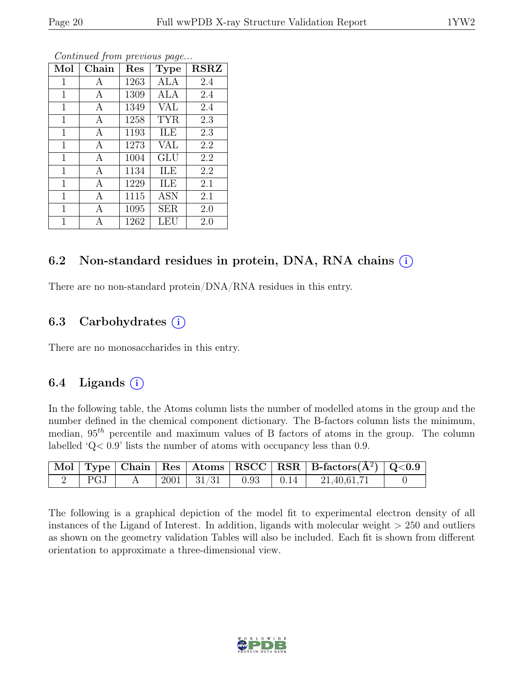| Mol          | Chain | Res  | <b>Type</b> | <b>RSRZ</b> |
|--------------|-------|------|-------------|-------------|
| 1            | A     | 1263 | ALA         | 2.4         |
| 1            | A     | 1309 | ALA         | 2.4         |
| 1            | A     | 1349 | <b>VAL</b>  | 2.4         |
| 1            | A     | 1258 | <b>TYR</b>  | 2.3         |
| $\mathbf{1}$ | A     | 1193 | ILE         | 2.3         |
| $\mathbf{1}$ | A     | 1273 | VAL         | 2.2         |
| $\mathbf{1}$ | A     | 1004 | GLU         | 2.2         |
| $\mathbf{1}$ | A     | 1134 | ILE         | 2.2         |
| $\mathbf{1}$ | A     | 1229 | ILE         | 2.1         |
| $\mathbf{1}$ | A     | 1115 | <b>ASN</b>  | 2.1         |
| 1            | A     | 1095 | <b>SER</b>  | 2.0         |
| 1            | А     | 1262 | LEU         | 2.0         |

### 6.2 Non-standard residues in protein, DNA, RNA chains  $(i)$

There are no non-standard protein/DNA/RNA residues in this entry.

### 6.3 Carbohydrates  $(i)$

There are no monosaccharides in this entry.

### 6.4 Ligands  $(i)$

In the following table, the Atoms column lists the number of modelled atoms in the group and the number defined in the chemical component dictionary. The B-factors column lists the minimum, median,  $95<sup>th</sup>$  percentile and maximum values of B factors of atoms in the group. The column labelled 'Q< 0.9' lists the number of atoms with occupancy less than 0.9.

|  |  |  | $\boxed{\text{Mol}}$ Type   Chain   Res   Atoms   RSCC   RSR   B-factors $(\AA^2)$   Q<0.9 |  |
|--|--|--|--------------------------------------------------------------------------------------------|--|
|  |  |  | 2   PGJ   A   2001   $31/31$   0.93   0.14   21,40,61,71                                   |  |

The following is a graphical depiction of the model fit to experimental electron density of all instances of the Ligand of Interest. In addition, ligands with molecular weight  $> 250$  and outliers as shown on the geometry validation Tables will also be included. Each fit is shown from different orientation to approximate a three-dimensional view.

![](_page_19_Picture_13.jpeg)